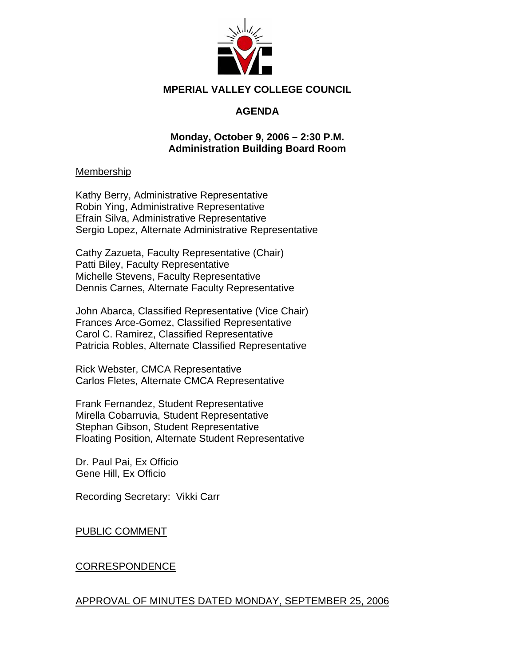

### **MPERIAL VALLEY COLLEGE COUNCIL**

# **AGENDA**

### **Monday, October 9, 2006 – 2:30 P.M. Administration Building Board Room**

#### Membership

Kathy Berry, Administrative Representative Robin Ying, Administrative Representative Efrain Silva, Administrative Representative Sergio Lopez, Alternate Administrative Representative

Cathy Zazueta, Faculty Representative (Chair) Patti Biley, Faculty Representative Michelle Stevens, Faculty Representative Dennis Carnes, Alternate Faculty Representative

John Abarca, Classified Representative (Vice Chair) Frances Arce-Gomez, Classified Representative Carol C. Ramirez, Classified Representative Patricia Robles, Alternate Classified Representative

Rick Webster, CMCA Representative Carlos Fletes, Alternate CMCA Representative

Frank Fernandez, Student Representative Mirella Cobarruvia, Student Representative Stephan Gibson, Student Representative Floating Position, Alternate Student Representative

Dr. Paul Pai, Ex Officio Gene Hill, Ex Officio

Recording Secretary: Vikki Carr

### PUBLIC COMMENT

### CORRESPONDENCE

### APPROVAL OF MINUTES DATED MONDAY, SEPTEMBER 25, 2006